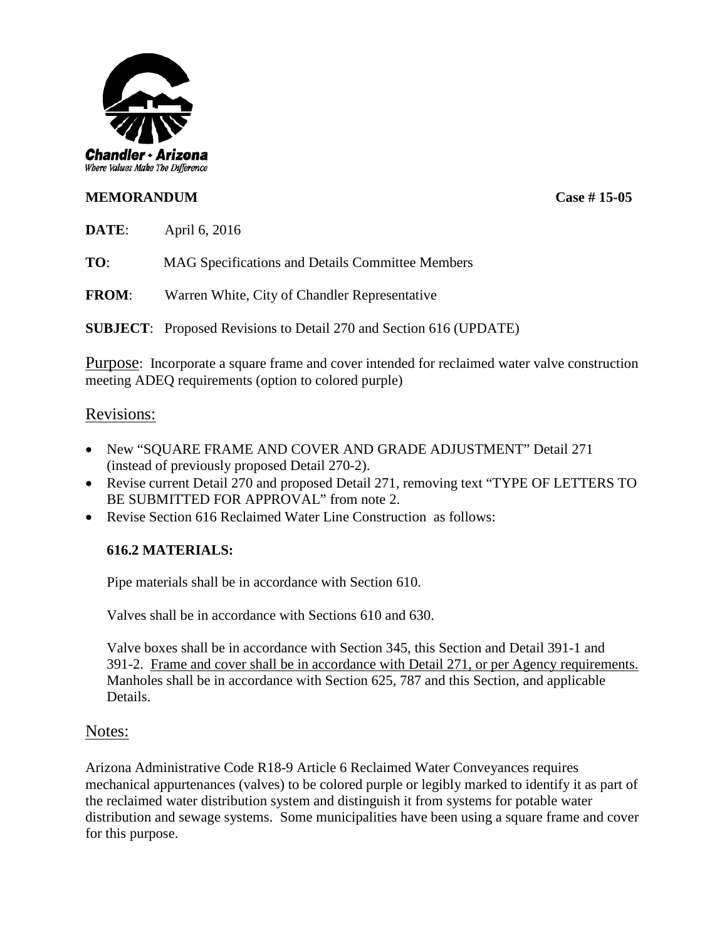

# **MEMORANDUM Case # 15-05**

**DATE**: April 6, 2016

**TO**: MAG Specifications and Details Committee Members

**FROM**: Warren White, City of Chandler Representative

**SUBJECT**: Proposed Revisions to Detail 270 and Section 616 (UPDATE)

Purpose: Incorporate a square frame and cover intended for reclaimed water valve construction meeting ADEQ requirements (option to colored purple)

## Revisions:

- New "SQUARE FRAME AND COVER AND GRADE ADJUSTMENT" Detail 271 (instead of previously proposed Detail 270-2).
- Revise current Detail 270 and proposed Detail 271, removing text "TYPE OF LETTERS TO BE SUBMITTED FOR APPROVAL" from note 2.
- Revise Section 616 Reclaimed Water Line Construction as follows:

## **616.2 MATERIALS:**

Pipe materials shall be in accordance with Section 610.

Valves shall be in accordance with Sections 610 and 630.

Valve boxes shall be in accordance with Section 345, this Section and Detail 391-1 and 391-2. Frame and cover shall be in accordance with Detail 271, or per Agency requirements. Manholes shall be in accordance with Section 625, 787 and this Section, and applicable Details.

## Notes:

Arizona Administrative Code R18-9 Article 6 Reclaimed Water Conveyances requires mechanical appurtenances (valves) to be colored purple or legibly marked to identify it as part of the reclaimed water distribution system and distinguish it from systems for potable water distribution and sewage systems. Some municipalities have been using a square frame and cover for this purpose.